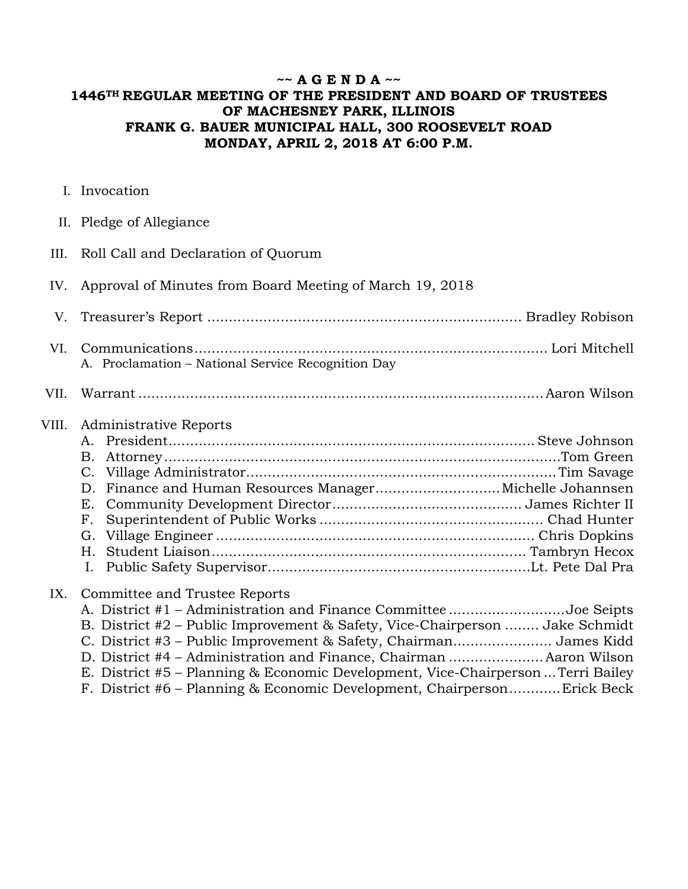# **~~ A G E N D A ~~ 1446TH REGULAR MEETING OF THE PRESIDENT AND BOARD OF TRUSTEES OF MACHESNEY PARK, ILLINOIS FRANK G. BAUER MUNICIPAL HALL, 300 ROOSEVELT ROAD MONDAY, APRIL 2, 2018 AT 6:00 P.M.**

- I. Invocation
- II. Pledge of Allegiance
- III. Roll Call and Declaration of Quorum
- IV. Approval of Minutes from Board Meeting of March 19, 2018
- V. Treasurer's Report ......................................................................... Bradley Robison VI. Communications .................................................................................. Lori Mitchell A. Proclamation – National Service Recognition Day
- VII. Warrant .............................................................................................. Aaron Wilson

#### VIII. Administrative Reports

#### IX. Committee and Trustee Reports

| A. District #1 – Administration and Finance Committee Joe Seipts                 |  |
|----------------------------------------------------------------------------------|--|
| B. District #2 – Public Improvement & Safety, Vice-Chairperson  Jake Schmidt     |  |
| C. District #3 – Public Improvement & Safety, Chairman James Kidd                |  |
| D. District #4 - Administration and Finance, Chairman  Aaron Wilson              |  |
| E. District #5 – Planning & Economic Development, Vice-Chairperson  Terri Bailey |  |
| F. District #6 – Planning & Economic Development, ChairpersonErick Beck          |  |